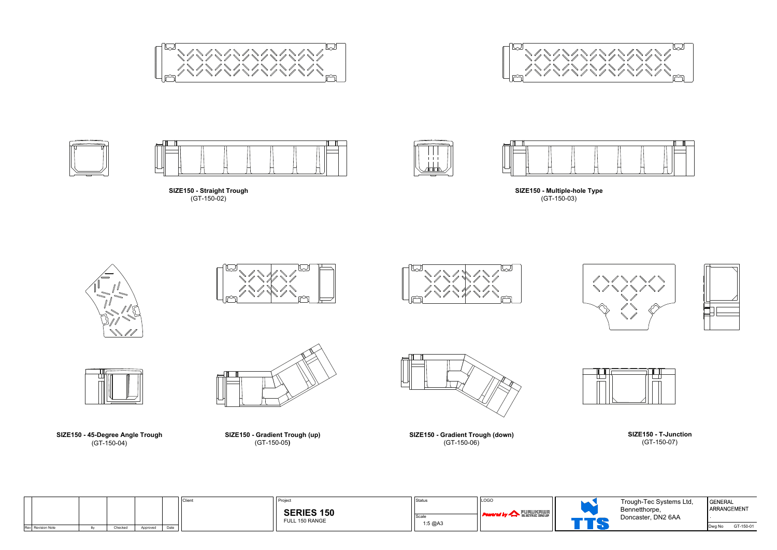







**SIZE150 - Straight Trough** (GT-150-02)



**SIZE150 - Gradient Trough (down)** (GT-150-06)



**SIZE150 - 45-Degree Angle Trough** (GT-150-04)



**SIZE150 - T-Junction** (GT-150-07)



**SIZE150 - Gradient Trough (up)** (GT-150-05**)**







**SIZE150 - Multiple-hole Type** (GT-150-03)













| GENERAL | ARRANGEMENT |
|---------|-------------|
| Dwg No  | GT-150-01   |

| Trough-Tec Systems Ltd, |  |
|-------------------------|--|
| Bennetthorpe,           |  |
| Doncaster, DN2 6AA      |  |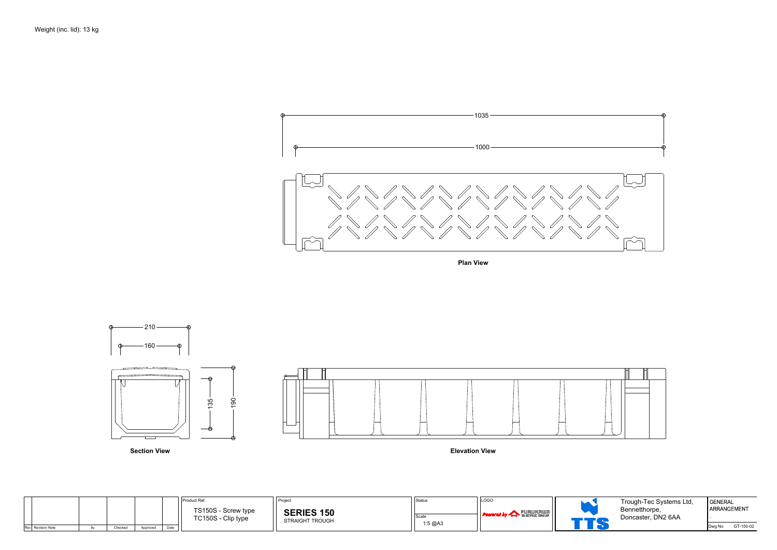**Plan View**

| <b>GENERAL</b> | ARRANGEMENT |
|----------------|-------------|
|                |             |
| Dwg No         | GT-150-02   |

|                   |         |          |      | Product Ref.                              | <b>Project</b>                       | <b>Status</b>          | LOGO                                                                               |  |
|-------------------|---------|----------|------|-------------------------------------------|--------------------------------------|------------------------|------------------------------------------------------------------------------------|--|
|                   |         |          |      | TS150S - Screw type<br>TC150S - Clip type | <b>SERIES 150</b><br>STRAIGHT TROUGH | <b>Scak</b><br>1:5 @A3 | $\left\vert \cdot \right\vert$ Powered by $\left\vert \cdot \right\vert$ FURUKRIUR |  |
| Rev Revision Note | Checked | Approved | Date |                                           |                                      |                        |                                                                                    |  |





Trough-Tec Systems Ltd, Bennetthorpe, Doncaster, DN2 6AA

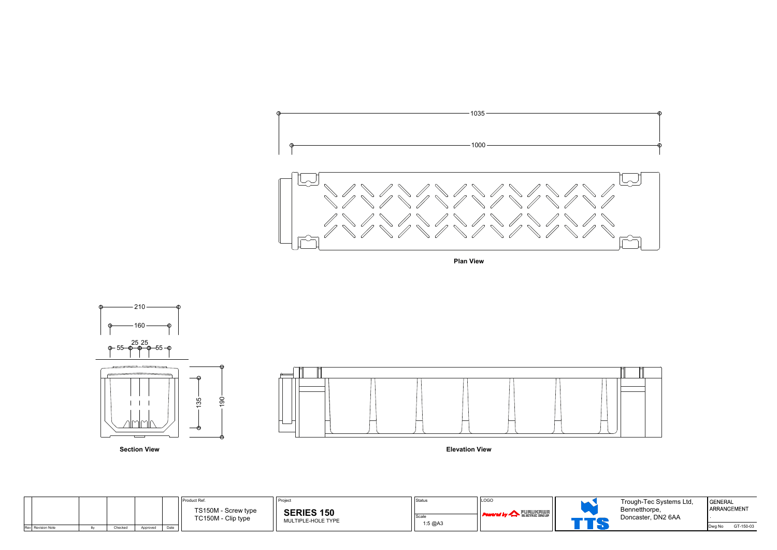



**Plan View**

**Section View Elevation View**

| <b>GENERAL</b> | ARRANGEMENT |
|----------------|-------------|
|                |             |
| Dwg No         | GT-150-03   |

|                   |         |          |      | Product Ref.                              | Project                                 | Status                  | LOGO                                              |  |
|-------------------|---------|----------|------|-------------------------------------------|-----------------------------------------|-------------------------|---------------------------------------------------|--|
|                   |         |          |      | TS150M - Screw type<br>TC150M - Clip type | <b>SERIES 150</b><br>MULTIPLE-HOLE TYPE | <b>Scale</b><br>1:5 @A3 | . FURUKAWA I<br><b>Powered by A BLETRIC GROUP</b> |  |
| Rev Revision Note | Checked | Approved | Date |                                           |                                         |                         |                                                   |  |



Trough-Tec Systems Ltd, Bennetthorpe, Doncaster, DN2 6AA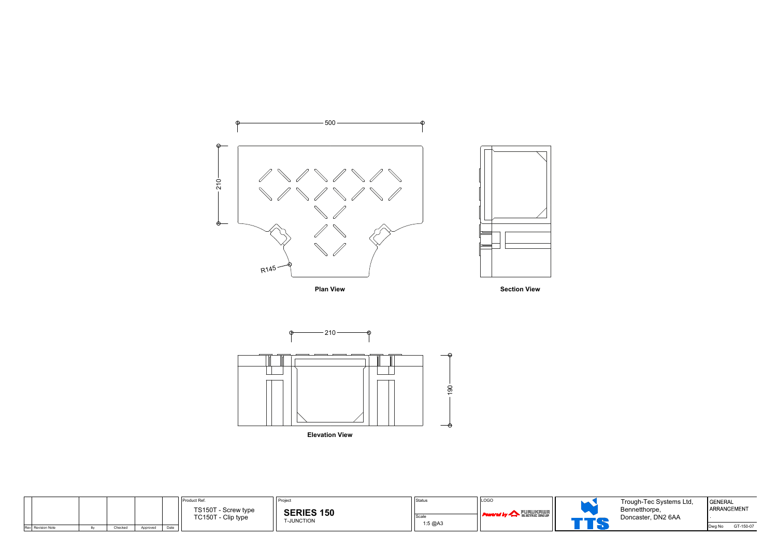



**Plan View Plan View Section View** 



**Elevation View**

| <b>GENERAL</b> | ARRANGEMENT |
|----------------|-------------|
| Dwg No         | GT-150-07   |

|                   |         |          |      | Product Ref.                              | <b>Project</b>                         | Status           | LOGO                                   |  |
|-------------------|---------|----------|------|-------------------------------------------|----------------------------------------|------------------|----------------------------------------|--|
|                   |         |          |      | TS150T - Screw type<br>TC150T - Clip type | <b>SERIES 150</b><br><b>T-JUNCTION</b> | Scale<br>1:5 @A3 | <b>FURUKAWA</b><br><b>Powered by 4</b> |  |
| Rev Revision Note | Checked | Approved | Date |                                           |                                        |                  |                                        |  |

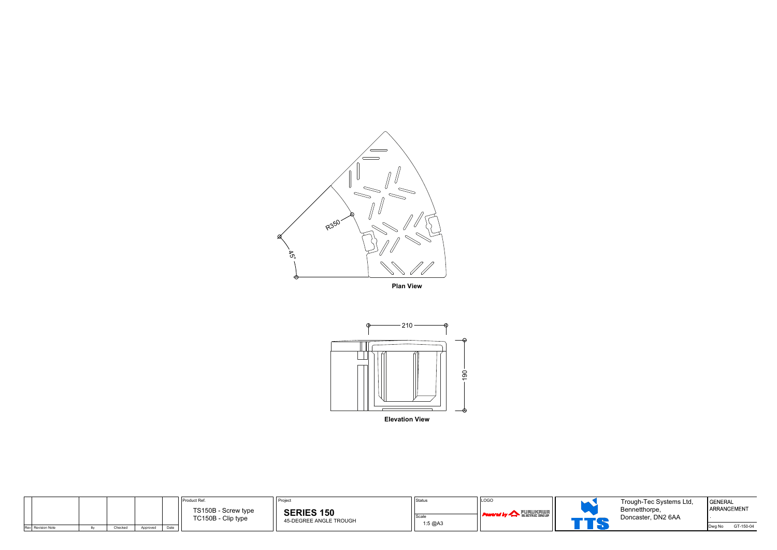





| <b>GENERAL</b><br>ARRANGEMENT |           |
|-------------------------------|-----------|
| Dwg No                        | GT-150-04 |

|                   |         |          |      | Product Ref.                              | <b>Project</b>                              | Status          | LOGO                                                              |  |
|-------------------|---------|----------|------|-------------------------------------------|---------------------------------------------|-----------------|-------------------------------------------------------------------|--|
|                   |         |          |      | TS150B - Screw type<br>TC150B - Clip type | <b>SERIES 150</b><br>45-DEGREE ANGLE TROUGH | Scal<br>1:5 @A3 | <b>FURUKAWA</b><br>$\blacksquare$ Powered by $\blacktriangleleft$ |  |
| Rev Revision Note | Checked | Approved | Date |                                           |                                             |                 |                                                                   |  |

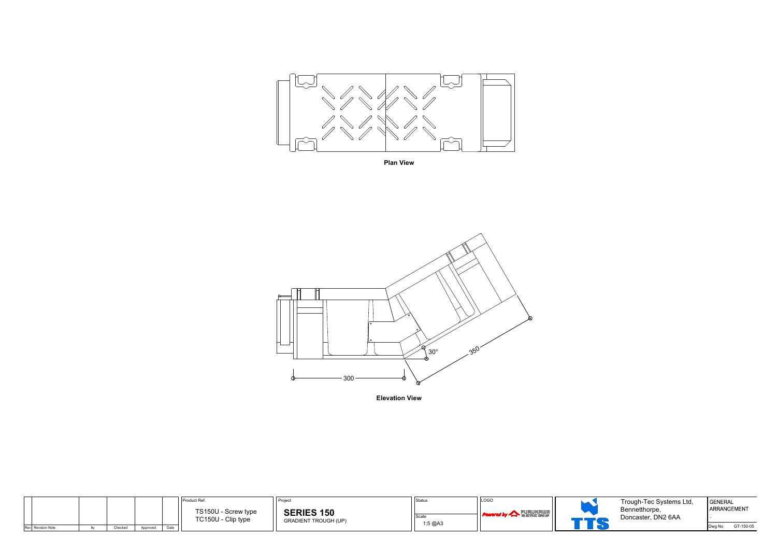

**Plan View**



**Elevation View**

| <b>GENERAL</b><br>ARRANGEMENT |           |
|-------------------------------|-----------|
| Dwg No                        | GT-150-05 |

|                   |         |          |      | Product Ref.                              | <b>Project</b>                                   | Status           | LOGO                          |  |
|-------------------|---------|----------|------|-------------------------------------------|--------------------------------------------------|------------------|-------------------------------|--|
|                   |         |          |      | TS150U - Screw type<br>TC150U - Clip type | <b>SERIES 150</b><br><b>GRADIENT TROUGH (UP)</b> | Scale<br>1:5 @A3 | <b>Powered by A FURUKRIUR</b> |  |
| Rev Revision Note | Checked | Approved | Date |                                           |                                                  |                  |                               |  |